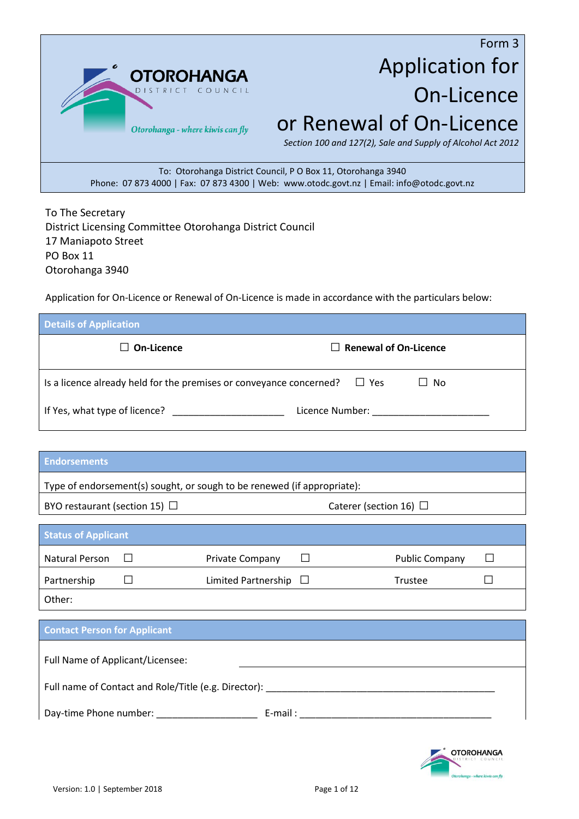

# Form 3 Application for On-Licence or Renewal of On-Licence

*Section 100 and 127(2), Sale and Supply of Alcohol Act 2012*

To: Otorohanga District Council, P O Box 11, Otorohanga 3940 Phone: 07 873 4000 | Fax: 07 873 4300 | Web: www.otodc.govt.nz | Email: info@otodc.govt.nz

To The Secretary District Licensing Committee Otorohanga District Council 17 Maniapoto Street PO Box 11 Otorohanga 3940

Application for On-Licence or Renewal of On-Licence is made in accordance with the particulars below:

| <b>Details of Application</b>                                                     |                                                                                                                                                                                                                               |
|-----------------------------------------------------------------------------------|-------------------------------------------------------------------------------------------------------------------------------------------------------------------------------------------------------------------------------|
| $\Box$ On-Licence                                                                 | $\Box$ Renewal of On-Licence                                                                                                                                                                                                  |
| Is a licence already held for the premises or conveyance concerned? $\square$ Yes | $\Box$ No                                                                                                                                                                                                                     |
|                                                                                   | Licence Number: North and Second Second Second Second Second Second Second Second Second Second Second Second Second Second Second Second Second Second Second Second Second Second Second Second Second Second Second Second |

| <b>Endorsements</b>                                                     |                            |                                                                                                                                                                                                                                |                       |  |
|-------------------------------------------------------------------------|----------------------------|--------------------------------------------------------------------------------------------------------------------------------------------------------------------------------------------------------------------------------|-----------------------|--|
| Type of endorsement(s) sought, or sough to be renewed (if appropriate): |                            |                                                                                                                                                                                                                                |                       |  |
| BYO restaurant (section 15) $\Box$                                      |                            | Caterer (section 16) $\Box$                                                                                                                                                                                                    |                       |  |
| <b>Status of Applicant</b>                                              |                            |                                                                                                                                                                                                                                |                       |  |
| Natural Person                                                          | Private Company            | $\Box$                                                                                                                                                                                                                         | <b>Public Company</b> |  |
| Partnership                                                             | Limited Partnership $\Box$ |                                                                                                                                                                                                                                | Trustee               |  |
| Other:                                                                  |                            |                                                                                                                                                                                                                                |                       |  |
| <b>Contact Person for Applicant</b>                                     |                            |                                                                                                                                                                                                                                |                       |  |
| Full Name of Applicant/Licensee:                                        |                            |                                                                                                                                                                                                                                |                       |  |
|                                                                         |                            |                                                                                                                                                                                                                                |                       |  |
| Full name of Contact and Role/Title (e.g. Director):                    |                            |                                                                                                                                                                                                                                |                       |  |
| Day-time Phone number: _______________                                  |                            | E-mail: E-mail: E-mail: E-mail: E-mail: E-mail: E-mail: E-mail: E-mail: E-mail: E-mail: E-mail: E-mail: E-mail: E-mail: E-mail: E-mail: E-mail: E-mail: E-mail: E-mail: E-mail: E-mail: E-mail: E-mail: E-mail: E-mail: E-mail |                       |  |

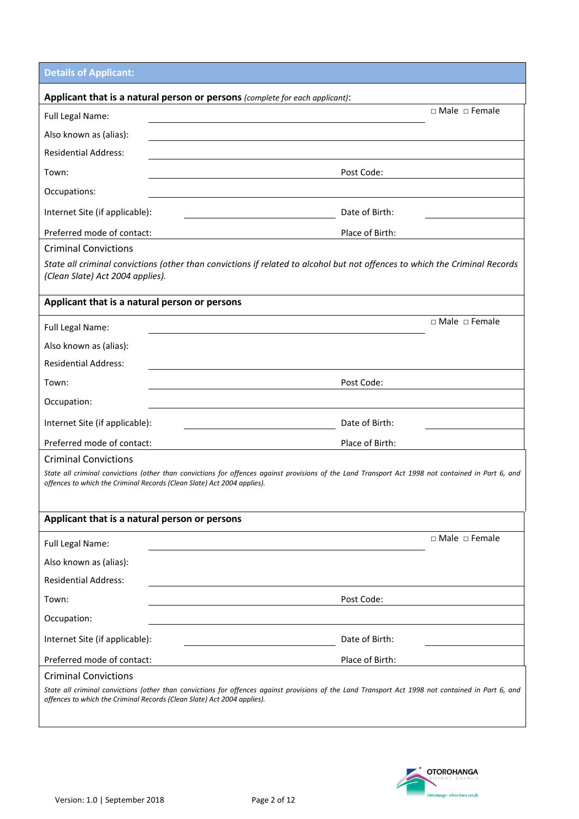**Details of Applicant:**

|                                               | Applicant that is a natural person or persons (complete for each applicant):                                                                                                                                                  |
|-----------------------------------------------|-------------------------------------------------------------------------------------------------------------------------------------------------------------------------------------------------------------------------------|
| Full Legal Name:                              | □ Male □ Female                                                                                                                                                                                                               |
| Also known as (alias):                        |                                                                                                                                                                                                                               |
| <b>Residential Address:</b>                   |                                                                                                                                                                                                                               |
| Town:                                         | Post Code:                                                                                                                                                                                                                    |
| Occupations:                                  |                                                                                                                                                                                                                               |
| Internet Site (if applicable):                | Date of Birth:                                                                                                                                                                                                                |
| Preferred mode of contact:                    | Place of Birth:                                                                                                                                                                                                               |
| <b>Criminal Convictions</b>                   |                                                                                                                                                                                                                               |
| (Clean Slate) Act 2004 applies).              | State all criminal convictions (other than convictions if related to alcohol but not offences to which the Criminal Records                                                                                                   |
| Applicant that is a natural person or persons |                                                                                                                                                                                                                               |
| Full Legal Name:                              | □ Male □ Female                                                                                                                                                                                                               |
| Also known as (alias):                        |                                                                                                                                                                                                                               |
| <b>Residential Address:</b>                   |                                                                                                                                                                                                                               |
| Town:                                         | Post Code:                                                                                                                                                                                                                    |
| Occupation:                                   |                                                                                                                                                                                                                               |
| Internet Site (if applicable):                | Date of Birth:                                                                                                                                                                                                                |
| Preferred mode of contact:                    | Place of Birth:                                                                                                                                                                                                               |
| <b>Criminal Convictions</b>                   |                                                                                                                                                                                                                               |
|                                               | State all criminal convictions (other than convictions for offences against provisions of the Land Transport Act 1998 not contained in Part 6, and<br>offences to which the Criminal Records (Clean Slate) Act 2004 applies). |
| Applicant that is a natural person or persons |                                                                                                                                                                                                                               |
| Full Legal Name:                              | □ Male □ Female                                                                                                                                                                                                               |
| Also known as (alias):                        |                                                                                                                                                                                                                               |
| <b>Residential Address:</b>                   |                                                                                                                                                                                                                               |
| Town:                                         | Post Code:                                                                                                                                                                                                                    |
| Occupation:                                   |                                                                                                                                                                                                                               |
| Internet Site (if applicable):                | Date of Birth:                                                                                                                                                                                                                |
| Preferred mode of contact:                    | Place of Birth:                                                                                                                                                                                                               |
| <b>Criminal Convictions</b>                   |                                                                                                                                                                                                                               |
|                                               | State all criminal convictions (other than convictions for offences against provisions of the Land Transport Act 1998 not contained in Part 6, and<br>offences to which the Criminal Records (Clean Slate) Act 2004 applies). |

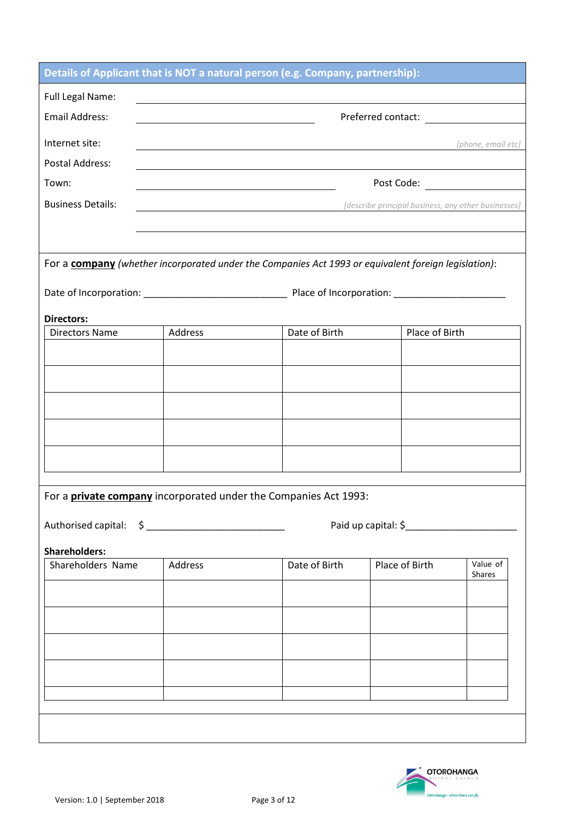|                          |         | Details of Applicant that is NOT a natural person (e.g. Company, partnership):                                         |                                                     |                           |
|--------------------------|---------|------------------------------------------------------------------------------------------------------------------------|-----------------------------------------------------|---------------------------|
| <b>Full Legal Name:</b>  |         | <u> 1989 - Johann Stoff, deutscher Stoffen und der Stoffen und der Stoffen und der Stoffen und der Stoffen und der</u> |                                                     |                           |
| <b>Email Address:</b>    |         |                                                                                                                        |                                                     |                           |
| Internet site:           |         | <u> 1989 - Johann Stoff, deutscher Stoffen und der Stoffen und der Stoffen und der Stoffen und der Stoffen und der</u> |                                                     | [phone, email etc]        |
| Postal Address:          |         | and the control of the control of the control of the control of the control of the control of the control of the       |                                                     |                           |
| Town:                    |         |                                                                                                                        |                                                     |                           |
| <b>Business Details:</b> |         |                                                                                                                        | [describe principal business, any other businesses] |                           |
|                          |         |                                                                                                                        |                                                     |                           |
|                          |         |                                                                                                                        |                                                     |                           |
|                          |         | For a company (whether incorporated under the Companies Act 1993 or equivalent foreign legislation):                   |                                                     |                           |
|                          |         |                                                                                                                        |                                                     |                           |
| <b>Directors:</b>        |         |                                                                                                                        |                                                     |                           |
| <b>Directors Name</b>    | Address | Date of Birth                                                                                                          | Place of Birth                                      |                           |
|                          |         |                                                                                                                        |                                                     |                           |
|                          |         |                                                                                                                        |                                                     |                           |
|                          |         |                                                                                                                        |                                                     |                           |
|                          |         |                                                                                                                        |                                                     |                           |
|                          |         |                                                                                                                        |                                                     |                           |
|                          |         |                                                                                                                        |                                                     |                           |
|                          |         |                                                                                                                        |                                                     |                           |
|                          |         | For a <b>private company</b> incorporated under the Companies Act 1993:                                                |                                                     |                           |
|                          |         |                                                                                                                        |                                                     |                           |
|                          |         |                                                                                                                        |                                                     |                           |
| <b>Shareholders:</b>     |         |                                                                                                                        |                                                     |                           |
| Shareholders Name        | Address | Date of Birth                                                                                                          | Place of Birth                                      | Value of<br><b>Shares</b> |
|                          |         |                                                                                                                        |                                                     |                           |
|                          |         |                                                                                                                        |                                                     |                           |
|                          |         |                                                                                                                        |                                                     |                           |
|                          |         |                                                                                                                        |                                                     |                           |
|                          |         |                                                                                                                        |                                                     |                           |
|                          |         |                                                                                                                        |                                                     |                           |
|                          |         |                                                                                                                        |                                                     |                           |
|                          |         |                                                                                                                        |                                                     |                           |

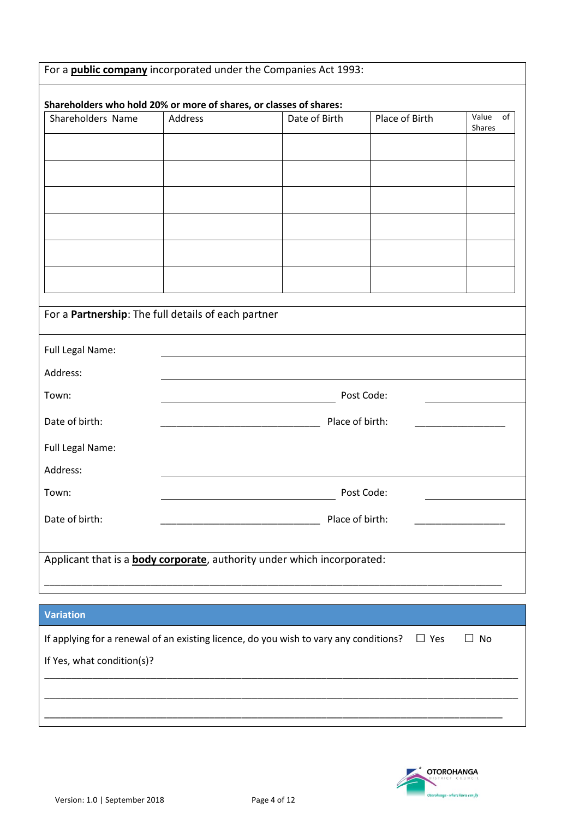|                                                                    |                | For a <b>public company</b> incorporated under the Companies Act 1993:                |                |                       |
|--------------------------------------------------------------------|----------------|---------------------------------------------------------------------------------------|----------------|-----------------------|
| Shareholders who hold 20% or more of shares, or classes of shares: |                |                                                                                       |                |                       |
| Shareholders Name                                                  | <b>Address</b> | Date of Birth                                                                         | Place of Birth | Value<br>of<br>Shares |
|                                                                    |                |                                                                                       |                |                       |
|                                                                    |                |                                                                                       |                |                       |
|                                                                    |                |                                                                                       |                |                       |
|                                                                    |                |                                                                                       |                |                       |
|                                                                    |                |                                                                                       |                |                       |
|                                                                    |                |                                                                                       |                |                       |
|                                                                    |                |                                                                                       |                |                       |
| For a Partnership: The full details of each partner                |                |                                                                                       |                |                       |
| Full Legal Name:                                                   |                |                                                                                       |                |                       |
| Address:                                                           |                |                                                                                       |                |                       |
| Town:                                                              |                |                                                                                       | Post Code:     |                       |
| Date of birth:                                                     |                | Place of birth:                                                                       |                |                       |
| Full Legal Name:                                                   |                |                                                                                       |                |                       |
| Address:                                                           |                |                                                                                       |                |                       |
| Town:                                                              |                |                                                                                       | Post Code:     |                       |
| Date of birth:                                                     |                | Place of birth:                                                                       |                |                       |
|                                                                    |                |                                                                                       |                |                       |
|                                                                    |                | Applicant that is a <b>body corporate</b> , authority under which incorporated:       |                |                       |
|                                                                    |                | ,我们也不会有一个人的人,我们也不会有一个人的人,我们也不会有一个人的人,我们也不会有一个人的人,我们也不会有一个人的人。""我们的人,我们也不会有一个人的人,我     |                |                       |
| <b>Variation</b>                                                   |                |                                                                                       |                |                       |
|                                                                    |                | If applying for a renewal of an existing licence, do you wish to vary any conditions? | $\Box$ Yes     | $\Box$ No             |
| If Yes, what condition(s)?                                         |                |                                                                                       |                |                       |
|                                                                    |                |                                                                                       |                |                       |
|                                                                    |                |                                                                                       |                |                       |
|                                                                    |                |                                                                                       |                |                       |

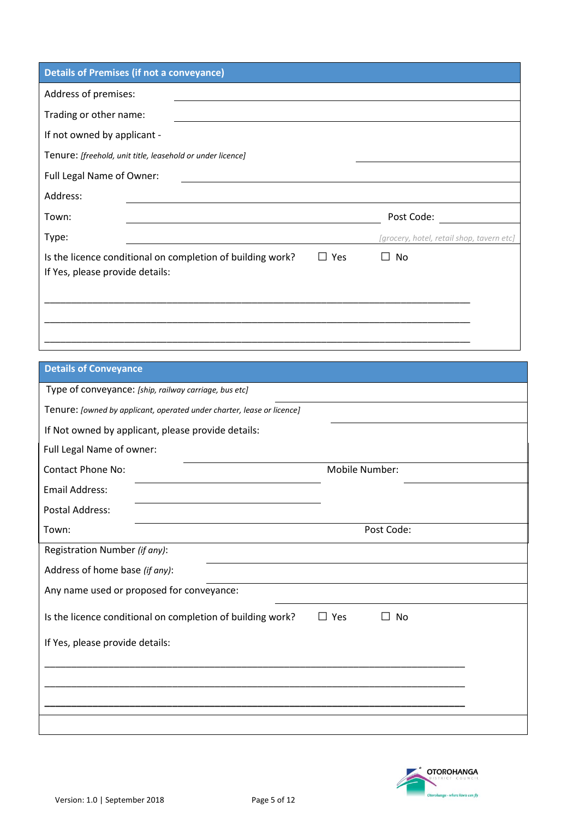| <b>Details of Premises (if not a conveyance)</b>                                              |                     |                                           |
|-----------------------------------------------------------------------------------------------|---------------------|-------------------------------------------|
| Address of premises:                                                                          |                     |                                           |
| Trading or other name:                                                                        |                     |                                           |
| If not owned by applicant -                                                                   |                     |                                           |
| Tenure: [freehold, unit title, leasehold or under licence]                                    |                     |                                           |
| Full Legal Name of Owner:                                                                     |                     |                                           |
| Address:                                                                                      |                     |                                           |
| Town:                                                                                         |                     | Post Code:                                |
| Type:                                                                                         |                     | [grocery, hotel, retail shop, tavern etc] |
| Is the licence conditional on completion of building work?<br>If Yes, please provide details: | Yes<br>$\mathsf{L}$ | No<br>$\mathsf{L}$                        |
|                                                                                               |                     |                                           |
|                                                                                               |                     |                                           |
|                                                                                               |                     |                                           |

| <b>Details of Conveyance</b>                                           |                           |  |
|------------------------------------------------------------------------|---------------------------|--|
| Type of conveyance: [ship, railway carriage, bus etc]                  |                           |  |
| Tenure: [owned by applicant, operated under charter, lease or licence] |                           |  |
| If Not owned by applicant, please provide details:                     |                           |  |
| Full Legal Name of owner:                                              |                           |  |
| <b>Contact Phone No:</b>                                               | Mobile Number:            |  |
| <b>Email Address:</b>                                                  |                           |  |
| <b>Postal Address:</b>                                                 |                           |  |
| Town:                                                                  | Post Code:                |  |
| Registration Number (if any):                                          |                           |  |
| Address of home base (if any):                                         |                           |  |
| Any name used or proposed for conveyance:                              |                           |  |
| Is the licence conditional on completion of building work?             | Yes<br>No<br>$\mathsf{L}$ |  |
| If Yes, please provide details:                                        |                           |  |
|                                                                        |                           |  |
|                                                                        |                           |  |
|                                                                        |                           |  |
|                                                                        |                           |  |

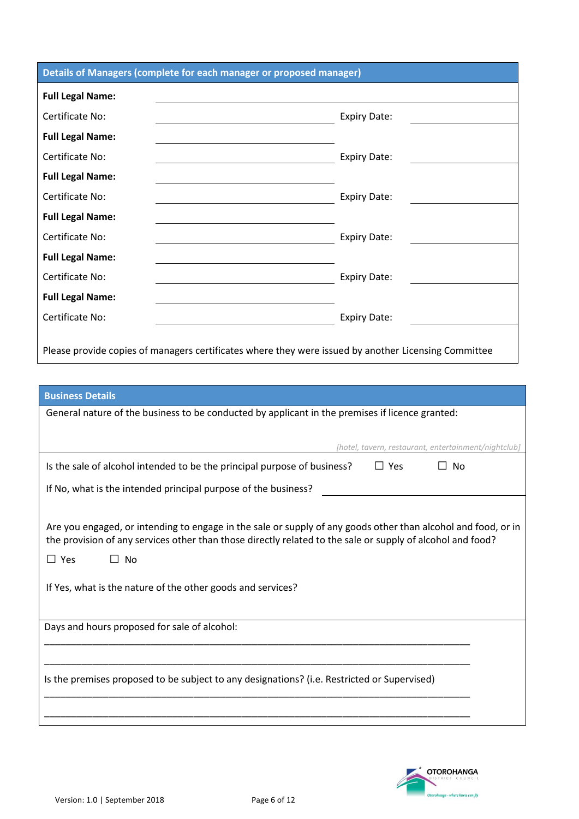| Details of Managers (complete for each manager or proposed manager)                                  |                     |
|------------------------------------------------------------------------------------------------------|---------------------|
| <b>Full Legal Name:</b>                                                                              |                     |
| Certificate No:                                                                                      | <b>Expiry Date:</b> |
| <b>Full Legal Name:</b>                                                                              |                     |
| Certificate No:                                                                                      | <b>Expiry Date:</b> |
| <b>Full Legal Name:</b>                                                                              |                     |
| Certificate No:                                                                                      | <b>Expiry Date:</b> |
| <b>Full Legal Name:</b>                                                                              |                     |
| Certificate No:                                                                                      | <b>Expiry Date:</b> |
| <b>Full Legal Name:</b>                                                                              |                     |
| Certificate No:                                                                                      | <b>Expiry Date:</b> |
| <b>Full Legal Name:</b>                                                                              |                     |
| Certificate No:                                                                                      | <b>Expiry Date:</b> |
| Please provide copies of managers certificates where they were issued by another Licensing Committee |                     |

### **Business Details**

| General nature of the business to be conducted by applicant in the premises if licence granted:                                                                                                                             |
|-----------------------------------------------------------------------------------------------------------------------------------------------------------------------------------------------------------------------------|
|                                                                                                                                                                                                                             |
| [hotel, tavern, restaurant, entertainment/nightclub]                                                                                                                                                                        |
| Is the sale of alcohol intended to be the principal purpose of business?<br>$\Box$ Yes<br>No.                                                                                                                               |
| If No, what is the intended principal purpose of the business?                                                                                                                                                              |
|                                                                                                                                                                                                                             |
| Are you engaged, or intending to engage in the sale or supply of any goods other than alcohol and food, or in<br>the provision of any services other than those directly related to the sale or supply of alcohol and food? |
| $\Box$ Yes<br>∐ No                                                                                                                                                                                                          |
| If Yes, what is the nature of the other goods and services?                                                                                                                                                                 |
| Days and hours proposed for sale of alcohol:                                                                                                                                                                                |
|                                                                                                                                                                                                                             |
|                                                                                                                                                                                                                             |
| Is the premises proposed to be subject to any designations? (i.e. Restricted or Supervised)                                                                                                                                 |
|                                                                                                                                                                                                                             |
|                                                                                                                                                                                                                             |

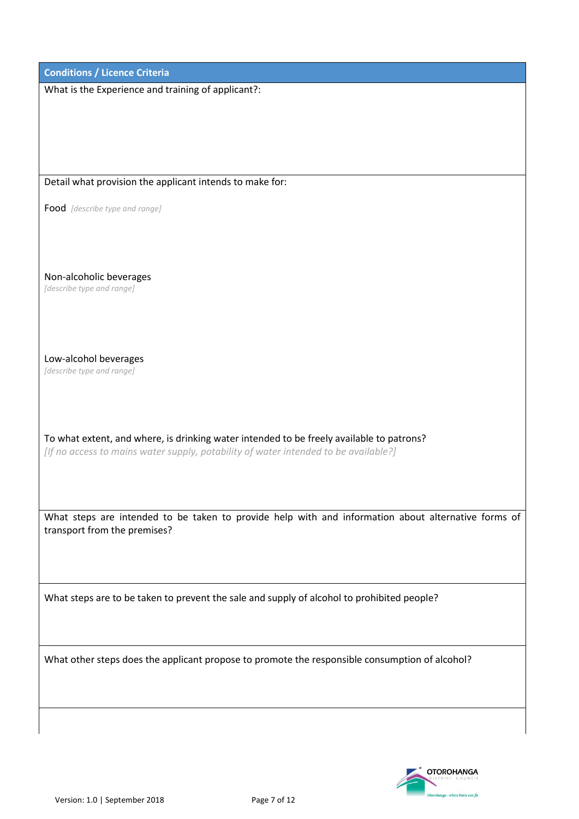| <b>Conditions / Licence Criteria</b>                                                                                                                                            |
|---------------------------------------------------------------------------------------------------------------------------------------------------------------------------------|
| What is the Experience and training of applicant?:                                                                                                                              |
|                                                                                                                                                                                 |
|                                                                                                                                                                                 |
|                                                                                                                                                                                 |
|                                                                                                                                                                                 |
| Detail what provision the applicant intends to make for:                                                                                                                        |
| Food [describe type and range]                                                                                                                                                  |
|                                                                                                                                                                                 |
|                                                                                                                                                                                 |
|                                                                                                                                                                                 |
| Non-alcoholic beverages                                                                                                                                                         |
| [describe type and range]                                                                                                                                                       |
|                                                                                                                                                                                 |
|                                                                                                                                                                                 |
| Low-alcohol beverages                                                                                                                                                           |
| [describe type and range]                                                                                                                                                       |
|                                                                                                                                                                                 |
|                                                                                                                                                                                 |
|                                                                                                                                                                                 |
| To what extent, and where, is drinking water intended to be freely available to patrons?<br>[If no access to mains water supply, potability of water intended to be available?] |
|                                                                                                                                                                                 |
|                                                                                                                                                                                 |
|                                                                                                                                                                                 |
| What steps are intended to be taken to provide help with and information about alternative forms of                                                                             |
| transport from the premises?                                                                                                                                                    |
|                                                                                                                                                                                 |
|                                                                                                                                                                                 |
| What steps are to be taken to prevent the sale and supply of alcohol to prohibited people?                                                                                      |
|                                                                                                                                                                                 |
|                                                                                                                                                                                 |
|                                                                                                                                                                                 |
| What other steps does the applicant propose to promote the responsible consumption of alcohol?                                                                                  |
|                                                                                                                                                                                 |
|                                                                                                                                                                                 |
|                                                                                                                                                                                 |
|                                                                                                                                                                                 |

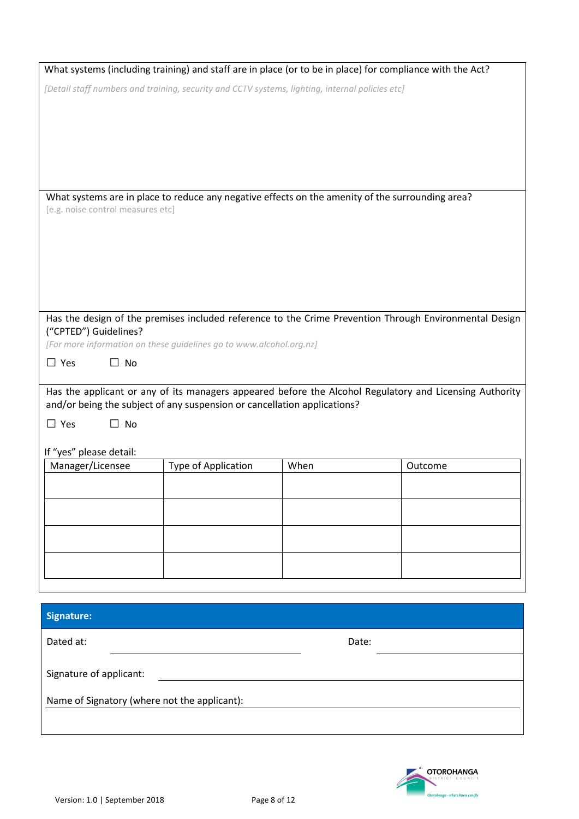|                                                                                              |                     | What systems (including training) and staff are in place (or to be in place) for compliance with the Act? |                                                                                                         |
|----------------------------------------------------------------------------------------------|---------------------|-----------------------------------------------------------------------------------------------------------|---------------------------------------------------------------------------------------------------------|
|                                                                                              |                     | [Detail staff numbers and training, security and CCTV systems, lighting, internal policies etc]           |                                                                                                         |
|                                                                                              |                     |                                                                                                           |                                                                                                         |
|                                                                                              |                     |                                                                                                           |                                                                                                         |
| [e.g. noise control measures etc]                                                            |                     | What systems are in place to reduce any negative effects on the amenity of the surrounding area?          |                                                                                                         |
|                                                                                              |                     |                                                                                                           |                                                                                                         |
|                                                                                              |                     |                                                                                                           |                                                                                                         |
|                                                                                              |                     |                                                                                                           |                                                                                                         |
| ("CPTED") Guidelines?<br>[For more information on these guidelines go to www.alcohol.org.nz] |                     |                                                                                                           | Has the design of the premises included reference to the Crime Prevention Through Environmental Design  |
| $\Box$ Yes<br>No<br>П                                                                        |                     |                                                                                                           |                                                                                                         |
| and/or being the subject of any suspension or cancellation applications?                     |                     |                                                                                                           | Has the applicant or any of its managers appeared before the Alcohol Regulatory and Licensing Authority |
| $\Box$ Yes<br>$\Box$ No                                                                      |                     |                                                                                                           |                                                                                                         |
| If "yes" please detail:                                                                      |                     |                                                                                                           |                                                                                                         |
| Manager/Licensee                                                                             | Type of Application | When                                                                                                      | Outcome                                                                                                 |
|                                                                                              |                     |                                                                                                           |                                                                                                         |
|                                                                                              |                     |                                                                                                           |                                                                                                         |
|                                                                                              |                     |                                                                                                           |                                                                                                         |
|                                                                                              |                     |                                                                                                           |                                                                                                         |
| <b>Signature:</b>                                                                            |                     |                                                                                                           |                                                                                                         |
| Dated at:                                                                                    |                     | Date:                                                                                                     |                                                                                                         |
| Signature of applicant:                                                                      |                     |                                                                                                           |                                                                                                         |
| Name of Signatory (where not the applicant):                                                 |                     |                                                                                                           |                                                                                                         |
|                                                                                              |                     |                                                                                                           |                                                                                                         |

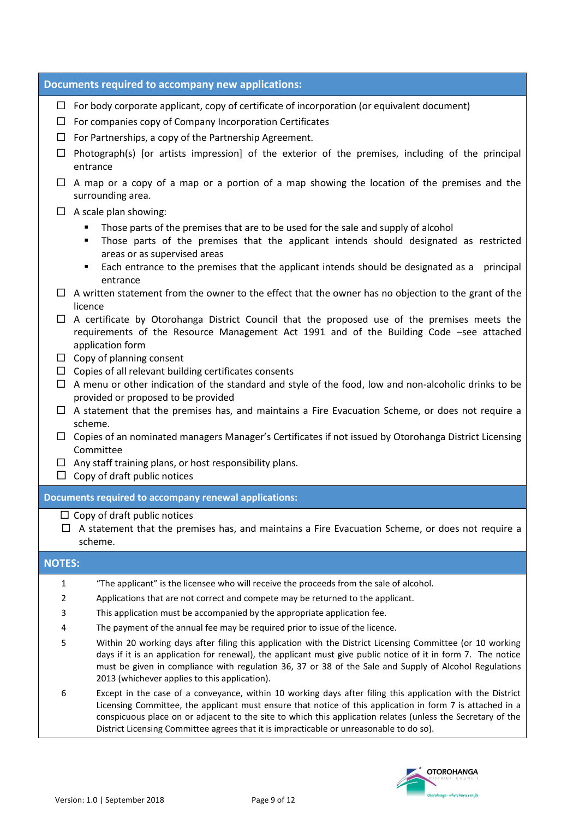|               | <b>Documents required to accompany new applications:</b>                                                                                                                                                                                                                                                                                                                                                                          |
|---------------|-----------------------------------------------------------------------------------------------------------------------------------------------------------------------------------------------------------------------------------------------------------------------------------------------------------------------------------------------------------------------------------------------------------------------------------|
| $\Box$        | $\Box$ For body corporate applicant, copy of certificate of incorporation (or equivalent document)<br>$\Box$ For companies copy of Company Incorporation Certificates<br>For Partnerships, a copy of the Partnership Agreement.                                                                                                                                                                                                   |
| $\Box$        | Photograph(s) [or artists impression] of the exterior of the premises, including of the principal<br>entrance                                                                                                                                                                                                                                                                                                                     |
|               | $\Box$ A map or a copy of a map or a portion of a map showing the location of the premises and the<br>surrounding area.                                                                                                                                                                                                                                                                                                           |
|               | $\Box$ A scale plan showing:<br>Those parts of the premises that are to be used for the sale and supply of alcohol<br>٠<br>Those parts of the premises that the applicant intends should designated as restricted<br>٠<br>areas or as supervised areas<br>Each entrance to the premises that the applicant intends should be designated as a<br>principal<br>٠<br>entrance                                                        |
|               | $\Box$ A written statement from the owner to the effect that the owner has no objection to the grant of the<br>licence                                                                                                                                                                                                                                                                                                            |
|               | $\Box$ A certificate by Otorohanga District Council that the proposed use of the premises meets the<br>requirements of the Resource Management Act 1991 and of the Building Code -see attached<br>application form                                                                                                                                                                                                                |
|               | $\Box$ Copy of planning consent<br>$\Box$ Copies of all relevant building certificates consents                                                                                                                                                                                                                                                                                                                                   |
|               | $\Box$ A menu or other indication of the standard and style of the food, low and non-alcoholic drinks to be<br>provided or proposed to be provided                                                                                                                                                                                                                                                                                |
|               | $\Box$ A statement that the premises has, and maintains a Fire Evacuation Scheme, or does not require a<br>scheme.                                                                                                                                                                                                                                                                                                                |
|               | $\Box$ Copies of an nominated managers Manager's Certificates if not issued by Otorohanga District Licensing<br>Committee                                                                                                                                                                                                                                                                                                         |
|               | $\Box$ Any staff training plans, or host responsibility plans.<br>$\Box$ Copy of draft public notices                                                                                                                                                                                                                                                                                                                             |
|               | <b>Documents required to accompany renewal applications:</b>                                                                                                                                                                                                                                                                                                                                                                      |
|               | $\Box$ Copy of draft public notices<br>A statement that the premises has, and maintains a Fire Evacuation Scheme, or does not require a<br>scheme.                                                                                                                                                                                                                                                                                |
| <b>NOTES:</b> |                                                                                                                                                                                                                                                                                                                                                                                                                                   |
| 1             | "The applicant" is the licensee who will receive the proceeds from the sale of alcohol.                                                                                                                                                                                                                                                                                                                                           |
| 2             | Applications that are not correct and compete may be returned to the applicant.                                                                                                                                                                                                                                                                                                                                                   |
| 3<br>4        | This application must be accompanied by the appropriate application fee.<br>The payment of the annual fee may be required prior to issue of the licence.                                                                                                                                                                                                                                                                          |
| 5             | Within 20 working days after filing this application with the District Licensing Committee (or 10 working<br>days if it is an application for renewal), the applicant must give public notice of it in form 7. The notice<br>must be given in compliance with regulation 36, 37 or 38 of the Sale and Supply of Alcohol Regulations<br>2013 (whichever applies to this application).                                              |
| 6             | Except in the case of a conveyance, within 10 working days after filing this application with the District<br>Licensing Committee, the applicant must ensure that notice of this application in form 7 is attached in a<br>conspicuous place on or adjacent to the site to which this application relates (unless the Secretary of the<br>District Licensing Committee agrees that it is impracticable or unreasonable to do so). |

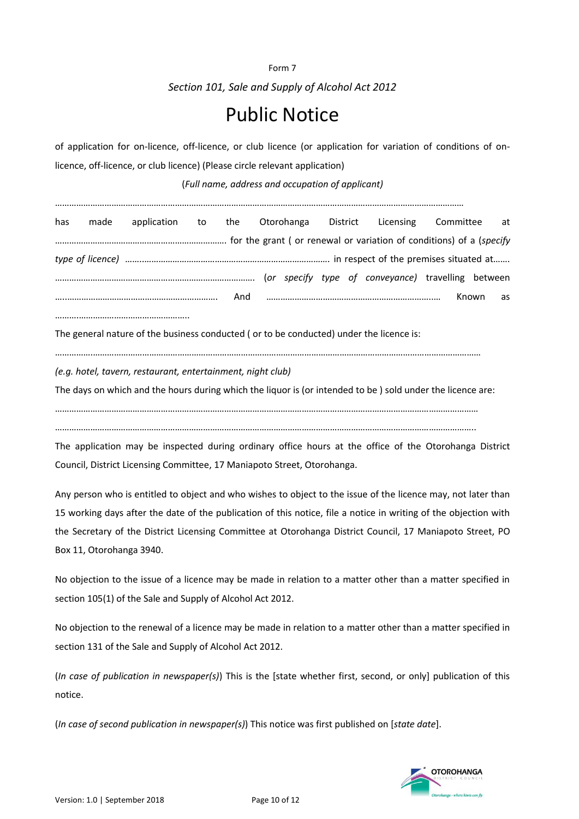Form 7 *Section 101, Sale and Supply of Alcohol Act 2012*

## Public Notice

of application for on-licence, off-licence, or club licence (or application for variation of conditions of onlicence, off-licence, or club licence) (Please circle relevant application)

(*Full name, address and occupation of applicant)*

…………………………………………………………………………………………………………………………………………………………

| has | made |  |  | application to the Otorohanga District Licensing Committee at |       |    |
|-----|------|--|--|---------------------------------------------------------------|-------|----|
|     |      |  |  |                                                               |       |    |
|     |      |  |  |                                                               |       |    |
|     |      |  |  |                                                               |       |    |
|     |      |  |  |                                                               | Known | as |
|     |      |  |  |                                                               |       |    |

The general nature of the business conducted ( or to be conducted) under the licence is:

…………….…………………………………………………………………………………………………………………………………………………

*(e.g. hotel, tavern, restaurant, entertainment, night club)*

The days on which and the hours during which the liquor is (or intended to be ) sold under the licence are:

………………………………………………………………………………………………………………………………………………………………

……………………………………………………………………………………………………………………………………………………………..

The application may be inspected during ordinary office hours at the office of the Otorohanga District Council, District Licensing Committee, 17 Maniapoto Street, Otorohanga.

Any person who is entitled to object and who wishes to object to the issue of the licence may, not later than 15 working days after the date of the publication of this notice, file a notice in writing of the objection with the Secretary of the District Licensing Committee at Otorohanga District Council, 17 Maniapoto Street, PO Box 11, Otorohanga 3940.

No objection to the issue of a licence may be made in relation to a matter other than a matter specified in section 105(1) of the Sale and Supply of Alcohol Act 2012.

No objection to the renewal of a licence may be made in relation to a matter other than a matter specified in section 131 of the Sale and Supply of Alcohol Act 2012.

(*In case of publication in newspaper(s)*) This is the [state whether first, second, or only] publication of this notice.

(*In case of second publication in newspaper(s)*) This notice was first published on [*state date*].

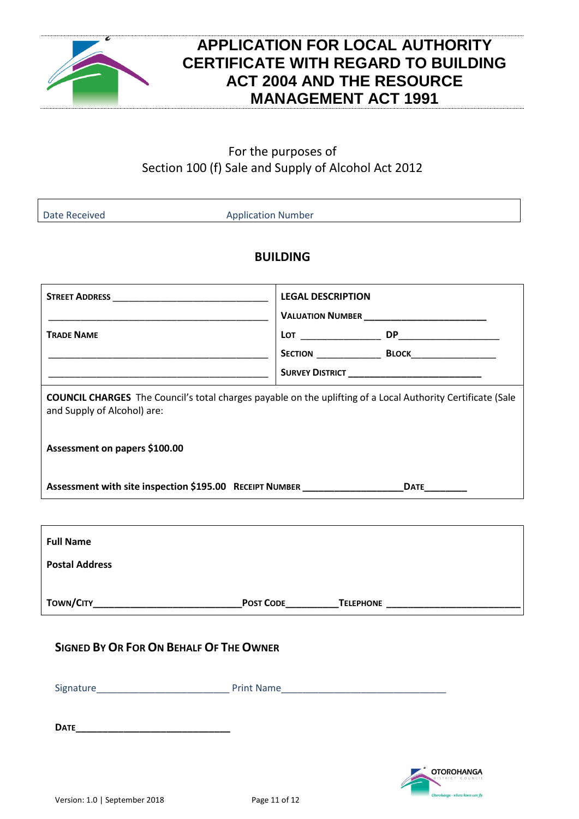

### **APPLICATION FOR LOCAL AUTHORITY CERTIFICATE WITH REGARD TO BUILDING ACT 2004 AND THE RESOURCE MANAGEMENT ACT 1991**

#### For the purposes of Section 100 (f) Sale and Supply of Alcohol Act 2012

Date Received **Application Number** 

#### **BUILDING**

|                                                                                                                                                   | <b>LEGAL DESCRIPTION</b> |                                                          |  |  |  |  |  |
|---------------------------------------------------------------------------------------------------------------------------------------------------|--------------------------|----------------------------------------------------------|--|--|--|--|--|
| <b>TRADE NAME</b><br><u> 1989 - Johann John Harry, mars and deutscher Amerikaanse komme van de Franse van de Franse van de Franse van</u>         |                          | <b>SURVEY DISTRICT</b> _________________________________ |  |  |  |  |  |
| <b>COUNCIL CHARGES</b> The Council's total charges payable on the uplifting of a Local Authority Certificate (Sale<br>and Supply of Alcohol) are: |                          |                                                          |  |  |  |  |  |
| Assessment on papers \$100.00                                                                                                                     |                          |                                                          |  |  |  |  |  |
| Assessment with site inspection \$195.00 RECEIPT NUMBER ______________________DATE__________                                                      |                          |                                                          |  |  |  |  |  |
|                                                                                                                                                   |                          |                                                          |  |  |  |  |  |
| <b>Full Name</b>                                                                                                                                  |                          |                                                          |  |  |  |  |  |
| <b>Postal Address</b>                                                                                                                             |                          |                                                          |  |  |  |  |  |
|                                                                                                                                                   |                          |                                                          |  |  |  |  |  |
| <b>SIGNED BY OR FOR ON BEHALF OF THE OWNER</b>                                                                                                    |                          |                                                          |  |  |  |  |  |
| <b>Print Name</b><br>Signature                                                                                                                    |                          |                                                          |  |  |  |  |  |

**DATE\_\_\_\_\_\_\_\_\_\_\_\_\_\_\_\_\_\_\_\_\_\_\_\_\_\_\_\_\_**